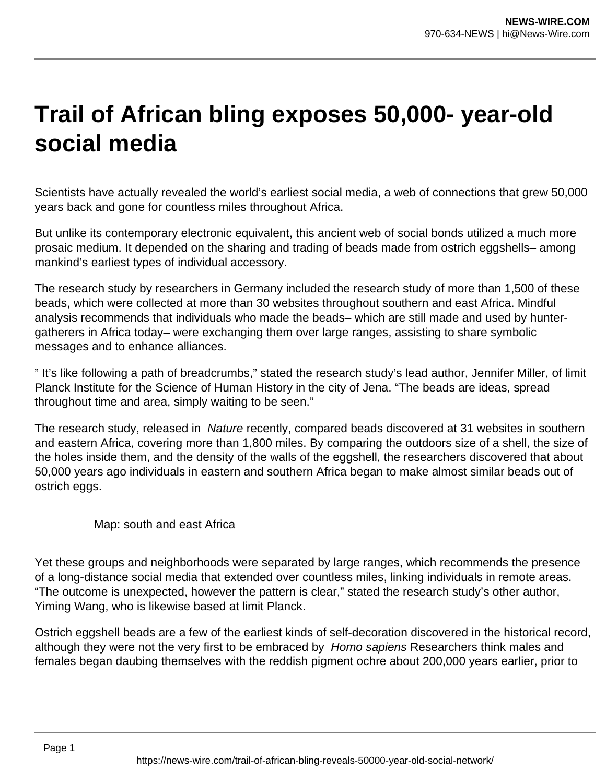## **Trail of African bling exposes 50,000- year-old social media**

Scientists have actually revealed the world's earliest social media, a web of connections that grew 50,000 years back and gone for countless miles throughout Africa.

But unlike its contemporary electronic equivalent, this ancient web of social bonds utilized a much more prosaic medium. It depended on the sharing and trading of beads made from ostrich eggshells– among mankind's earliest types of individual accessory.

The research study by researchers in Germany included the research study of more than 1,500 of these beads, which were collected at more than 30 websites throughout southern and east Africa. Mindful analysis recommends that individuals who made the beads– which are still made and used by huntergatherers in Africa today– were exchanging them over large ranges, assisting to share symbolic messages and to enhance alliances.

" It's like following a path of breadcrumbs," stated the research study's lead author, Jennifer Miller, of limit Planck Institute for the Science of Human History in the city of Jena. "The beads are ideas, spread throughout time and area, simply waiting to be seen."

The research study, released in Nature recently, compared beads discovered at 31 websites in southern and eastern Africa, covering more than 1,800 miles. By comparing the outdoors size of a shell, the size of the holes inside them, and the density of the walls of the eggshell, the researchers discovered that about 50,000 years ago individuals in eastern and southern Africa began to make almost similar beads out of ostrich eggs.

## Map: south and east Africa

Yet these groups and neighborhoods were separated by large ranges, which recommends the presence of a long-distance social media that extended over countless miles, linking individuals in remote areas. "The outcome is unexpected, however the pattern is clear," stated the research study's other author, Yiming Wang, who is likewise based at limit Planck.

Ostrich eggshell beads are a few of the earliest kinds of self-decoration discovered in the historical record, although they were not the very first to be embraced by Homo sapiens Researchers think males and females began daubing themselves with the reddish pigment ochre about 200,000 years earlier, prior to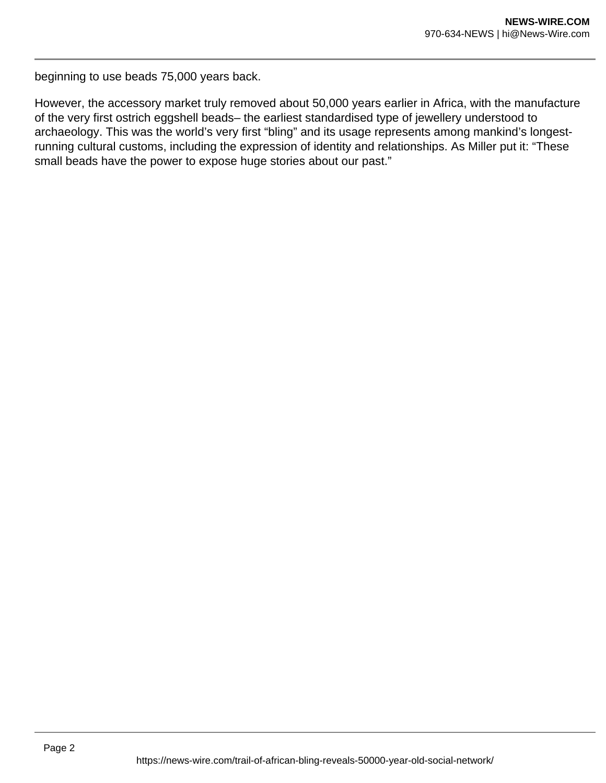beginning to use beads 75,000 years back.

However, the accessory market truly removed about 50,000 years earlier in Africa, with the manufacture of the very first ostrich eggshell beads– the earliest standardised type of jewellery understood to archaeology. This was the world's very first "bling" and its usage represents among mankind's longestrunning cultural customs, including the expression of identity and relationships. As Miller put it: "These small beads have the power to expose huge stories about our past."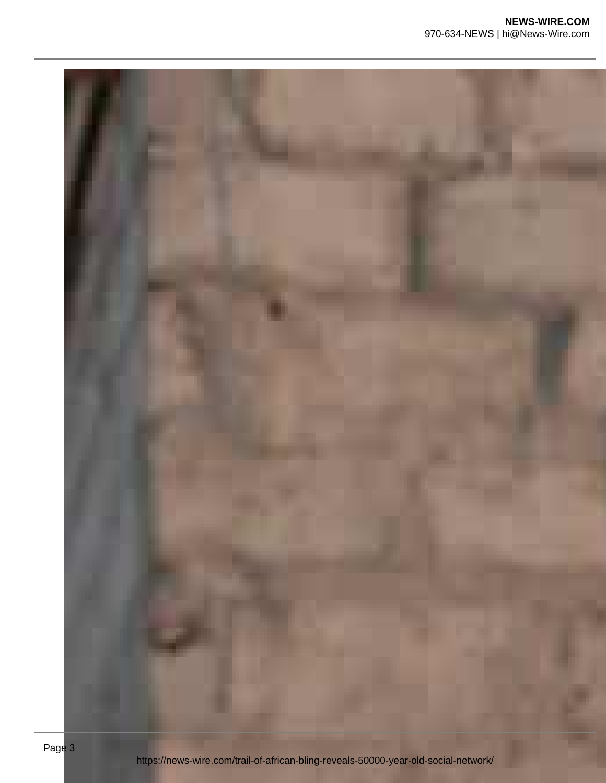